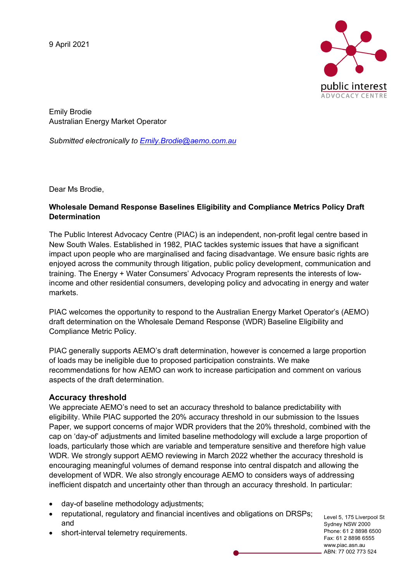9 April 2021



Emily Brodie Australian Energy Market Operator

*Submitted electronically to Emily.Brodie@aemo.com.au*

Dear Ms Brodie,

## **Wholesale Demand Response Baselines Eligibility and Compliance Metrics Policy Draft Determination**

The Public Interest Advocacy Centre (PIAC) is an independent, non-profit legal centre based in New South Wales. Established in 1982, PIAC tackles systemic issues that have a significant impact upon people who are marginalised and facing disadvantage. We ensure basic rights are enjoyed across the community through litigation, public policy development, communication and training. The Energy + Water Consumers' Advocacy Program represents the interests of lowincome and other residential consumers, developing policy and advocating in energy and water markets.

PIAC welcomes the opportunity to respond to the Australian Energy Market Operator's (AEMO) draft determination on the Wholesale Demand Response (WDR) Baseline Eligibility and Compliance Metric Policy.

PIAC generally supports AEMO's draft determination, however is concerned a large proportion of loads may be ineligible due to proposed participation constraints. We make recommendations for how AEMO can work to increase participation and comment on various aspects of the draft determination.

# **Accuracy threshold**

We appreciate AEMO's need to set an accuracy threshold to balance predictability with eligibility. While PIAC supported the 20% accuracy threshold in our submission to the Issues Paper, we support concerns of major WDR providers that the 20% threshold, combined with the cap on 'day-of' adjustments and limited baseline methodology will exclude a large proportion of loads, particularly those which are variable and temperature sensitive and therefore high value WDR. We strongly support AEMO reviewing in March 2022 whether the accuracy threshold is encouraging meaningful volumes of demand response into central dispatch and allowing the development of WDR. We also strongly encourage AEMO to considers ways of addressing inefficient dispatch and uncertainty other than through an accuracy threshold. In particular:

- day-of baseline methodology adjustments;
- reputational, regulatory and financial incentives and obligations on DRSPs; and
- short-interval telemetry requirements.

Level 5, 175 Liverpool St Sydney NSW 2000 Phone: 61 2 8898 6500 Fax: 61 2 8898 6555 www.piac.asn.au ABN: 77 002 773 524